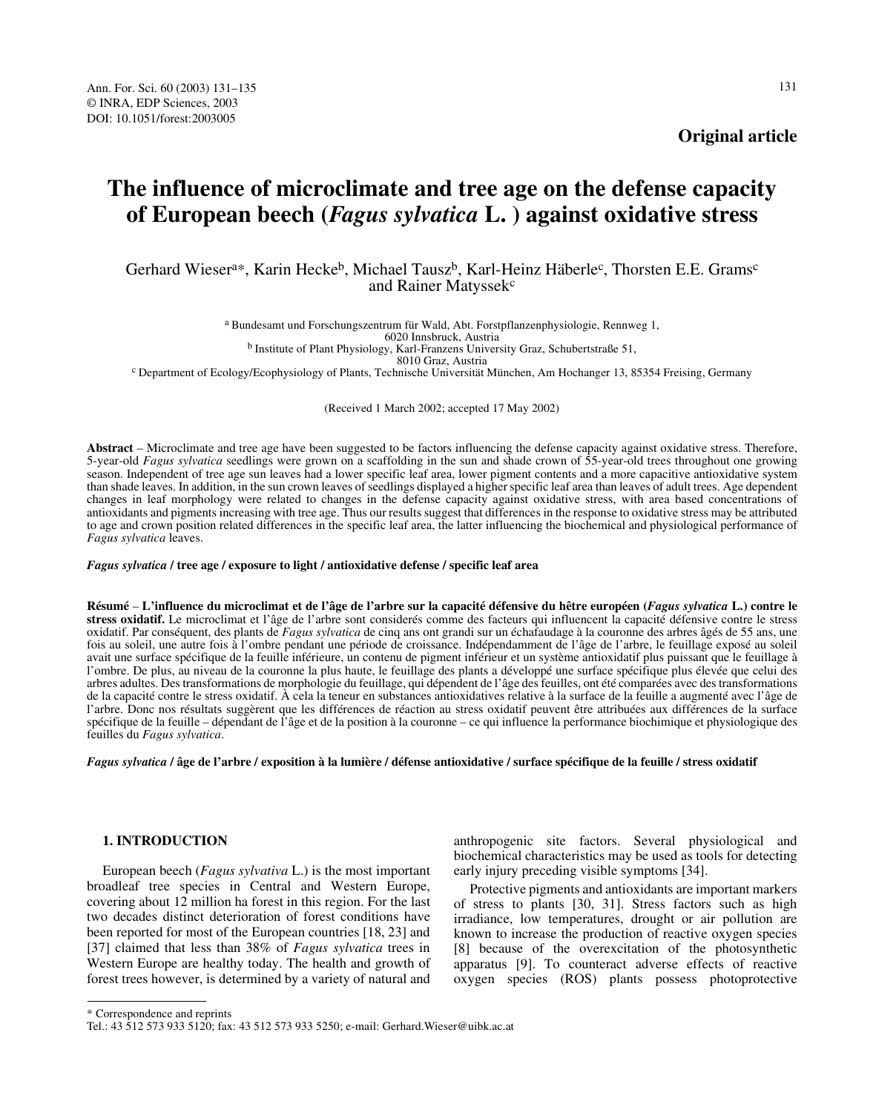# **The influence of microclimate and tree age on the defense capacity of European beech (***Fagus sylvatica* **L. ) against oxidative stress**

Gerhard Wiesera\*, Karin Hecke<sup>b</sup>, Michael Tausz<sup>b</sup>, Karl-Heinz Häberle<sup>c</sup>, Thorsten E.E. Grams<sup>c</sup> and Rainer Matyssek<sup>c</sup>

> a Bundesamt und Forschungszentrum für Wald, Abt. Forstpflanzenphysiologie, Rennweg 1, 6020 Innsbruck, Austria

b Institute of Plant Physiology, Karl-Franzens University Graz, Schubertstraße 51,

<sup>c</sup> Department of Ecology/Ecophysiology of Plants, Technische Universität München, Am Hochanger 13, 85354 Freising, Germany

(Received 1 March 2002; accepted 17 May 2002)

**Abstract** – Microclimate and tree age have been suggested to be factors influencing the defense capacity against oxidative stress. Therefore, 5-year-old *Fagus sylvatica* seedlings were grown on a scaffolding in the sun and shade crown of 55-year-old trees throughout one growing season. Independent of tree age sun leaves had a lower specific leaf area, lower pigment contents and a more capacitive antioxidative system than shade leaves. In addition, in the sun crown leaves of seedlings displayed a higher specific leaf area than leaves of adult trees. Age dependent changes in leaf morphology were related to changes in the defense capacity against oxidative stress, with area based concentrations of antioxidants and pigments increasing with tree age. Thus our results suggest that differences in the response to oxidative stress may be attributed to age and crown position related differences in the specific leaf area, the latter influencing the biochemical and physiological performance of *Fagus sylvatica* leaves.

#### *Fagus sylvatica* **/ tree age / exposure to light / antioxidative defense / specific leaf area**

**Résumé** – **L'influence du microclimat et de l'âge de l'arbre sur la capacité défensive du hêtre européen (***Fagus sylvatica* **L.) contre le stress oxidatif.** Le microclimat et l'âge de l'arbre sont considerés comme des facteurs qui influencent la capacité défensive contre le stress oxidatif. Par conséquent, des plants de *Fagus sylvatica* de cinq ans ont grandi sur un échafaudage à la couronne des arbres âgés de 55 ans, une fois au soleil, une autre fois à l'ombre pendant une période de croissance. Indépendamment de l'âge de l'arbre, le feuillage exposé au soleil avait une surface spécifique de la feuille inférieure, un contenu de pigment inférieur et un système antioxidatif plus puissant que le feuillage à l'ombre. De plus, au niveau de la couronne la plus haute, le feuillage des plants a développé une surface spécifique plus élevée que celui des arbres adultes. Des transformations de morphologie du feuillage, qui dépendent de l'âge des feuilles, ont été comparées avec des transformations de la capacité contre le stress oxidatif. À cela la teneur en substances antioxidatives relative à la surface de la feuille a augmenté avec l'âge de l'arbre. Donc nos résultats suggèrent que les différences de réaction au stress oxidatif peuvent être attribuées aux différences de la surface spécifique de la feuille – dépendant de l'âge et de la position à la couronne – ce qui influence la performance biochimique et physiologique des feuilles du *Fagus sylvatica*.

#### *Fagus sylvatica* **/ âge de l'arbre / exposition à la lumière / défense antioxidative / surface spécifique de la feuille / stress oxidatif**

# **1. INTRODUCTION**

European beech (*Fagus sylvativa* L.) is the most important broadleaf tree species in Central and Western Europe, covering about 12 million ha forest in this region. For the last two decades distinct deterioration of forest conditions have been reported for most of the European countries [18, 23] and [37] claimed that less than 38% of *Fagus sylvatica* trees in Western Europe are healthy today. The health and growth of forest trees however, is determined by a variety of natural and anthropogenic site factors. Several physiological and biochemical characteristics may be used as tools for detecting early injury preceding visible symptoms [34].

Protective pigments and antioxidants are important markers of stress to plants [30, 31]. Stress factors such as high irradiance, low temperatures, drought or air pollution are known to increase the production of reactive oxygen species [8] because of the overexcitation of the photosynthetic apparatus [9]. To counteract adverse effects of reactive oxygen species (ROS) plants possess photoprotective

<sup>\*</sup> Correspondence and reprints

Tel.: 43 512 573 933 5120; fax: 43 512 573 933 5250; e-mail: Gerhard.Wieser@uibk.ac.at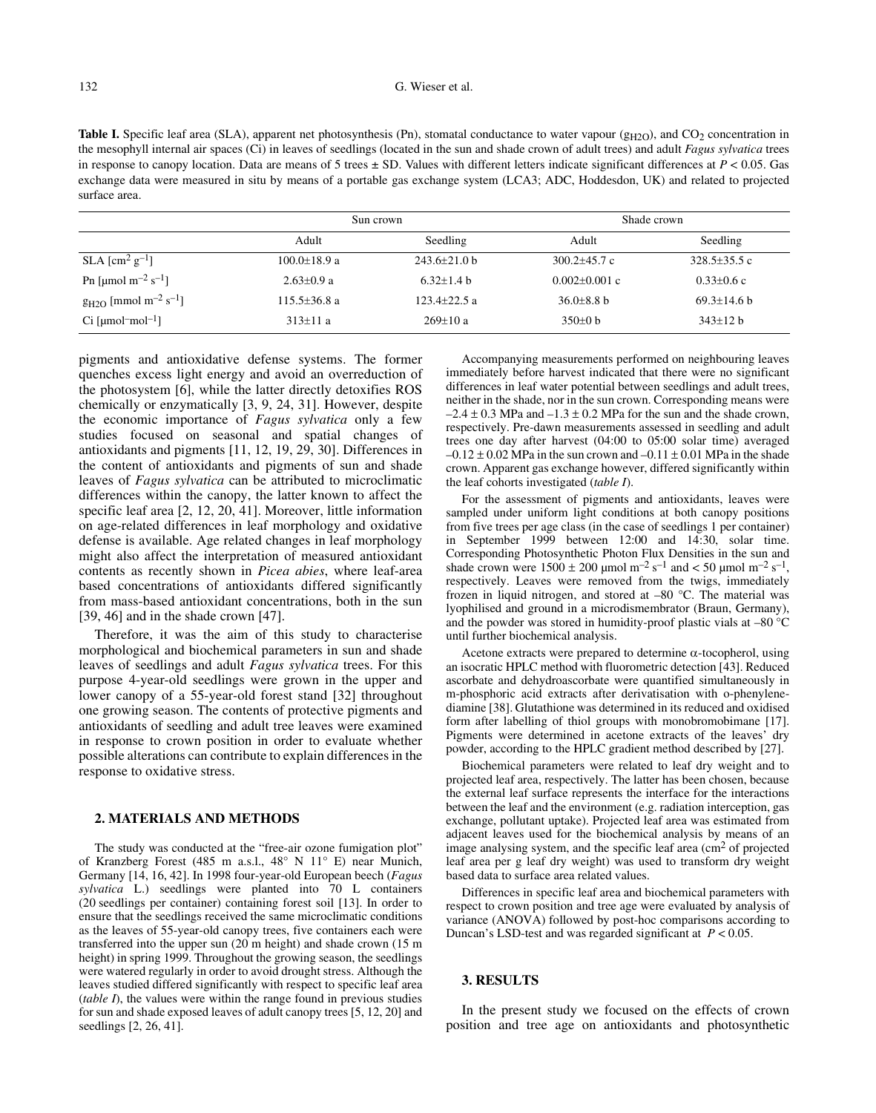Table I. Specific leaf area (SLA), apparent net photosynthesis (Pn), stomatal conductance to water vapour (g<sub>H2O</sub>), and CO<sub>2</sub> concentration in the mesophyll internal air spaces (Ci) in leaves of seedlings (located in the sun and shade crown of adult trees) and adult *Fagus sylvatica* trees in response to canopy location. Data are means of 5 trees  $\pm$  SD. Values with different letters indicate significant differences at  $P < 0.05$ . Gas exchange data were measured in situ by means of a portable gas exchange system (LCA3; ADC, Hoddesdon, UK) and related to projected surface area.

|                                                   | Sun crown          |                  | Shade crown      |                 |
|---------------------------------------------------|--------------------|------------------|------------------|-----------------|
|                                                   | Adult              | Seedling         | Adult            | Seedling        |
| SLA $\mathrm{[cm^2\,g^{-1}]}$                     | $100.0 \pm 18.9$ a | $243.6 + 21.0$ b | $300.2 + 45.7$ c | $328.5+35.5c$   |
| Pn [µmol m <sup>-2</sup> s <sup>-1</sup> ]        | $2.63 \pm 0.9$ a   | $6.32+1.4 h$     | $0.002+0.001$ c  | $0.33+0.6c$     |
| $g_{H2O}$ [mmol m <sup>-2</sup> s <sup>-1</sup> ] | $115.5 \pm 36.8$ a | $123.4+22.5a$    | $36.0\pm8.8$ b   | $69.3 + 14.6$ b |
| $Ci$ [µmol <sup>-</sup> mol <sup>-1</sup> ]       | $313 \pm 11 a$     | $269+10a$        | $350\pm0 b$      | $343+12h$       |

pigments and antioxidative defense systems. The former quenches excess light energy and avoid an overreduction of the photosystem [6], while the latter directly detoxifies ROS chemically or enzymatically [3, 9, 24, 31]. However, despite the economic importance of *Fagus sylvatica* only a few studies focused on seasonal and spatial changes of antioxidants and pigments [11, 12, 19, 29, 30]. Differences in the content of antioxidants and pigments of sun and shade leaves of *Fagus sylvatica* can be attributed to microclimatic differences within the canopy, the latter known to affect the specific leaf area [2, 12, 20, 41]. Moreover, little information on age-related differences in leaf morphology and oxidative defense is available. Age related changes in leaf morphology might also affect the interpretation of measured antioxidant contents as recently shown in *Picea abies*, where leaf-area based concentrations of antioxidants differed significantly from mass-based antioxidant concentrations, both in the sun [39, 46] and in the shade crown [47].

Therefore, it was the aim of this study to characterise morphological and biochemical parameters in sun and shade leaves of seedlings and adult *Fagus sylvatica* trees. For this purpose 4-year-old seedlings were grown in the upper and lower canopy of a 55-year-old forest stand [32] throughout one growing season. The contents of protective pigments and antioxidants of seedling and adult tree leaves were examined in response to crown position in order to evaluate whether possible alterations can contribute to explain differences in the response to oxidative stress.

## **2. MATERIALS AND METHODS**

The study was conducted at the "free-air ozone fumigation plot" of Kranzberg Forest (485 m a.s.l., 48° N 11° E) near Munich, Germany [14, 16, 42]. In 1998 four-year-old European beech (*Fagus sylvatica* L.) seedlings were planted into 70 L containers (20 seedlings per container) containing forest soil [13]. In order to ensure that the seedlings received the same microclimatic conditions as the leaves of 55-year-old canopy trees, five containers each were transferred into the upper sun (20 m height) and shade crown (15 m height) in spring 1999. Throughout the growing season, the seedlings were watered regularly in order to avoid drought stress. Although the leaves studied differed significantly with respect to specific leaf area (*table I*), the values were within the range found in previous studies for sun and shade exposed leaves of adult canopy trees [5, 12, 20] and seedlings [2, 26, 41].

Accompanying measurements performed on neighbouring leaves immediately before harvest indicated that there were no significant differences in leaf water potential between seedlings and adult trees, neither in the shade, nor in the sun crown. Corresponding means were  $-2.4 \pm 0.3$  MPa and  $-1.3 \pm 0.2$  MPa for the sun and the shade crown, respectively. Pre-dawn measurements assessed in seedling and adult trees one day after harvest (04:00 to 05:00 solar time) averaged  $-0.12 \pm 0.02$  MPa in the sun crown and  $-0.11 \pm 0.01$  MPa in the shade crown. Apparent gas exchange however, differed significantly within the leaf cohorts investigated (*table I*).

For the assessment of pigments and antioxidants, leaves were sampled under uniform light conditions at both canopy positions from five trees per age class (in the case of seedlings 1 per container) in September 1999 between 12:00 and 14:30, solar time. Corresponding Photosynthetic Photon Flux Densities in the sun and shade crown were  $1500 \pm 200$  µmol m<sup>-2</sup> s<sup>-1</sup> and < 50 µmol m<sup>-2</sup> s<sup>-1</sup>, respectively. Leaves were removed from the twigs, immediately frozen in liquid nitrogen, and stored at –80 °C. The material was lyophilised and ground in a microdismembrator (Braun, Germany), and the powder was stored in humidity-proof plastic vials at –80 °C until further biochemical analysis.

Acetone extracts were prepared to determine  $\alpha$ -tocopherol, using an isocratic HPLC method with fluorometric detection [43]. Reduced ascorbate and dehydroascorbate were quantified simultaneously in m-phosphoric acid extracts after derivatisation with o-phenylenediamine [38]. Glutathione was determined in its reduced and oxidised form after labelling of thiol groups with monobromobimane [17]. Pigments were determined in acetone extracts of the leaves' dry powder, according to the HPLC gradient method described by [27].

Biochemical parameters were related to leaf dry weight and to projected leaf area, respectively. The latter has been chosen, because the external leaf surface represents the interface for the interactions between the leaf and the environment (e.g. radiation interception, gas exchange, pollutant uptake). Projected leaf area was estimated from adjacent leaves used for the biochemical analysis by means of an image analysing system, and the specific leaf area  $\rm (cm^2 \text{ of projected})$ leaf area per g leaf dry weight) was used to transform dry weight based data to surface area related values.

Differences in specific leaf area and biochemical parameters with respect to crown position and tree age were evaluated by analysis of variance (ANOVA) followed by post-hoc comparisons according to Duncan's LSD-test and was regarded significant at *P* < 0.05.

# **3. RESULTS**

In the present study we focused on the effects of crown position and tree age on antioxidants and photosynthetic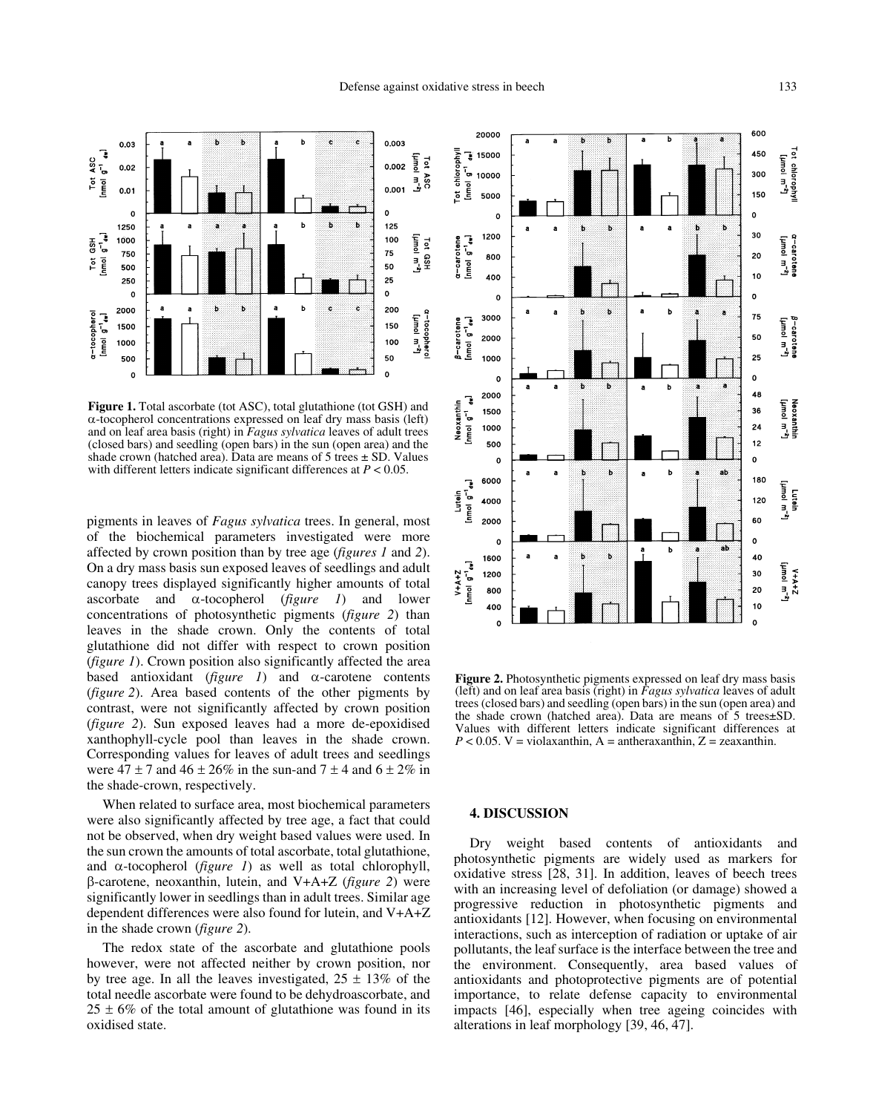

**Figure 1.** Total ascorbate (tot ASC), total glutathione (tot GSH) and  $\alpha$ -tocopherol concentrations expressed on leaf dry mass basis (left) and on leaf area basis (right) in *Fagus sylvatica* leaves of adult trees (closed bars) and seedling (open bars) in the sun (open area) and the shade crown (hatched area). Data are means of  $5$  trees  $\pm$  SD. Values with different letters indicate significant differences at *P* < 0.05.

pigments in leaves of *Fagus sylvatica* trees. In general, most of the biochemical parameters investigated were more affected by crown position than by tree age (*figures 1* and *2*). On a dry mass basis sun exposed leaves of seedlings and adult canopy trees displayed significantly higher amounts of total ascorbate and  $\alpha$ -tocopherol (*figure 1*) and lower concentrations of photosynthetic pigments (*figure 2*) than leaves in the shade crown. Only the contents of total glutathione did not differ with respect to crown position (*figure 1*). Crown position also significantly affected the area based antioxidant ( $figure \t1$ ) and  $\alpha$ -carotene contents (*figure 2*). Area based contents of the other pigments by contrast, were not significantly affected by crown position (*figure 2*). Sun exposed leaves had a more de-epoxidised xanthophyll-cycle pool than leaves in the shade crown. Corresponding values for leaves of adult trees and seedlings were  $47 \pm 7$  and  $46 \pm 26\%$  in the sun-and  $7 \pm 4$  and  $6 \pm 2\%$  in the shade-crown, respectively.

When related to surface area, most biochemical parameters were also significantly affected by tree age, a fact that could not be observed, when dry weight based values were used. In the sun crown the amounts of total ascorbate, total glutathione, and  $\alpha$ -tocopherol (*figure 1*) as well as total chlorophyll, -carotene, neoxanthin, lutein, and V+A+Z (*figure 2*) were significantly lower in seedlings than in adult trees. Similar age dependent differences were also found for lutein, and V+A+Z in the shade crown (*figure 2*).

The redox state of the ascorbate and glutathione pools however, were not affected neither by crown position, nor by tree age. In all the leaves investigated,  $25 \pm 13\%$  of the total needle ascorbate were found to be dehydroascorbate, and  $25 \pm 6\%$  of the total amount of glutathione was found in its oxidised state.



Figure 2. Photosynthetic pigments expressed on leaf dry mass basis (left) and on leaf area basis (right) in *Fagus sylvatica* leaves of adult trees (closed bars) and seedling (open bars) in the sun (open area) and the shade crown (hatched area). Data are means of 5 trees±SD. Values with different letters indicate significant differences at  $P < 0.05$ . V = violaxanthin, A = antheraxanthin, Z = zeaxanthin.

## **4. DISCUSSION**

Dry weight based contents of antioxidants and photosynthetic pigments are widely used as markers for oxidative stress [28, 31]. In addition, leaves of beech trees with an increasing level of defoliation (or damage) showed a progressive reduction in photosynthetic pigments and antioxidants [12]. However, when focusing on environmental interactions, such as interception of radiation or uptake of air pollutants, the leaf surface is the interface between the tree and the environment. Consequently, area based values of antioxidants and photoprotective pigments are of potential importance, to relate defense capacity to environmental impacts [46], especially when tree ageing coincides with alterations in leaf morphology [39, 46, 47].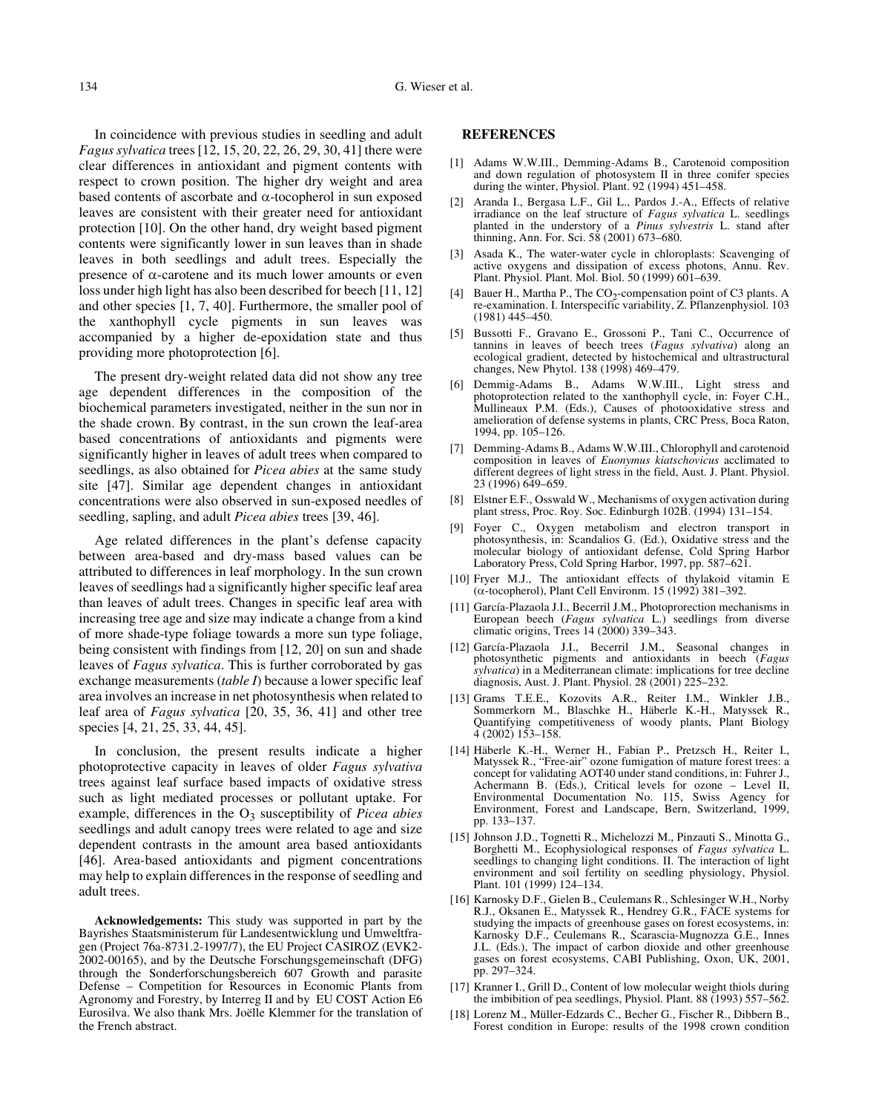In coincidence with previous studies in seedling and adult *Fagus sylvatica* trees [12, 15, 20, 22, 26, 29, 30, 41] there were clear differences in antioxidant and pigment contents with respect to crown position. The higher dry weight and area based contents of ascorbate and  $\alpha$ -tocopherol in sun exposed leaves are consistent with their greater need for antioxidant protection [10]. On the other hand, dry weight based pigment contents were significantly lower in sun leaves than in shade leaves in both seedlings and adult trees. Especially the presence of  $\alpha$ -carotene and its much lower amounts or even loss under high light has also been described for beech [11, 12] and other species [1, 7, 40]. Furthermore, the smaller pool of the xanthophyll cycle pigments in sun leaves was accompanied by a higher de-epoxidation state and thus providing more photoprotection [6].

The present dry-weight related data did not show any tree age dependent differences in the composition of the biochemical parameters investigated, neither in the sun nor in the shade crown. By contrast, in the sun crown the leaf-area based concentrations of antioxidants and pigments were significantly higher in leaves of adult trees when compared to seedlings, as also obtained for *Picea abies* at the same study site [47]. Similar age dependent changes in antioxidant concentrations were also observed in sun-exposed needles of seedling, sapling, and adult *Picea abies* trees [39, 46].

Age related differences in the plant's defense capacity between area-based and dry-mass based values can be attributed to differences in leaf morphology. In the sun crown leaves of seedlings had a significantly higher specific leaf area than leaves of adult trees. Changes in specific leaf area with increasing tree age and size may indicate a change from a kind of more shade-type foliage towards a more sun type foliage, being consistent with findings from [12, 20] on sun and shade leaves of *Fagus sylvatica*. This is further corroborated by gas exchange measurements (*table I*) because a lower specific leaf area involves an increase in net photosynthesis when related to leaf area of *Fagus sylvatica* [20, 35, 36, 41] and other tree species [4, 21, 25, 33, 44, 45].

In conclusion, the present results indicate a higher photoprotective capacity in leaves of older *Fagus sylvativa* trees against leaf surface based impacts of oxidative stress such as light mediated processes or pollutant uptake. For example, differences in the O<sub>3</sub> susceptibility of *Picea abies* seedlings and adult canopy trees were related to age and size dependent contrasts in the amount area based antioxidants [46]. Area-based antioxidants and pigment concentrations may help to explain differences in the response of seedling and adult trees.

**Acknowledgements:** This study was supported in part by the Bayrishes Staatsministerum für Landesentwicklung und Umweltfragen (Project 76a-8731.2-1997/7), the EU Project CASIROZ (EVK2- 2002-00165), and by the Deutsche Forschungsgemeinschaft (DFG) through the Sonderforschungsbereich 607 Growth and parasite Defense – Competition for Resources in Economic Plants from Agronomy and Forestry, by Interreg II and by EU COST Action E6 Eurosilva. We also thank Mrs. Joëlle Klemmer for the translation of the French abstract.

### **REFERENCES**

- [1] Adams W.W.III., Demming-Adams B., Carotenoid composition and down regulation of photosystem II in three conifer species during the winter, Physiol. Plant. 92 (1994) 451–458.
- [2] Aranda I., Bergasa L.F., Gil L., Pardos J.-A., Effects of relative irradiance on the leaf structure of *Fagus sylvatica* L. seedlings planted in the understory of a *Pinus sylvestris* L. stand after thinning, Ann. For. Sci. 58 (2001) 673–680.
- [3] Asada K., The water-water cycle in chloroplasts: Scavenging of active oxygens and dissipation of excess photons, Annu. Rev. Plant. Physiol. Plant. Mol. Biol. 50 (1999) 601–639.
- [4] Bauer H., Martha P., The CO<sub>2</sub>-compensation point of C3 plants. A re-examination. I. Interspecific variability, Z. Pflanzenphysiol. 103 (1981) 445–450.
- [5] Bussotti F., Gravano E., Grossoni P., Tani C., Occurrence of tannins in leaves of beech trees (*Fagus sylvativa*) along an ecological gradient, detected by histochemical and ultrastructural changes, New Phytol. 138 (1998) 469–479.
- [6] Demmig-Adams B., Adams W.W.III., Light stress and photoprotection related to the xanthophyll cycle, in: Foyer C.H., Mullineaux P.M. (Eds.), Causes of photooxidative stress and amelioration of defense systems in plants, CRC Press, Boca Raton, 1994, pp. 105–126.
- [7] Demming-Adams B., Adams W.W.III., Chlorophyll and carotenoid composition in leaves of *Euonymus kiatschovicus* acclimated to different degrees of light stress in the field, Aust. J. Plant. Physiol. 23 (1996) 649–659.
- [8] Elstner E.F., Osswald W., Mechanisms of oxygen activation during plant stress, Proc. Roy. Soc. Edinburgh 102B. (1994) 131–154.
- [9] Foyer C., Oxygen metabolism and electron transport in photosynthesis, in: Scandalios G. (Ed.), Oxidative stress and the molecular biology of antioxidant defense, Cold Spring Harbor Laboratory Press, Cold Spring Harbor, 1997, pp. 587–621.
- [10] Fryer M.J., The antioxidant effects of thylakoid vitamin E  $(\alpha$ -tocopherol), Plant Cell Environm. 15 (1992) 381-392.
- [11] García-Plazaola J.I., Becerril J.M., Photoprorection mechanisms in European beech (*Fagus sylvatica* L.) seedlings from diverse climatic origins, Trees 14 (2000) 339–343.
- [12] García-Plazaola J.I., Becerril J.M., Seasonal changes in photosynthetic pigments and antioxidants in beech (*Fagus sylvatica*) in a Mediterranean climate: implications for tree decline diagnosis, Aust. J. Plant. Physiol. 28 (2001) 225–232.
- [13] Grams T.E.E., Kozovits A.R., Reiter I.M., Winkler J.B., Sommerkorn M., Blaschke H., Häberle K.-H., Matyssek R., Quantifying competitiveness of woody plants, Plant Biology 4 (2002) 153–158.
- [14] Häberle K.-H., Werner H., Fabian P., Pretzsch H., Reiter I., Matyssek R., "Free-air" ozone fumigation of mature forest trees: a concept for validating AOT40 under stand conditions, in: Fuhrer J., Achermann B. (Eds.), Critical levels for ozone – Level II, Environmental Documentation No. 115, Swiss Agency for Environment, Forest and Landscape, Bern, Switzerland, 1999, pp. 133–137.
- [15] Johnson J.D., Tognetti R., Michelozzi M., Pinzauti S., Minotta G., Borghetti M., Ecophysiological responses of *Fagus sylvatica* L. seedlings to changing light conditions. II. The interaction of light environment and soil fertility on seedling physiology, Physiol. Plant. 101 (1999) 124–134.
- [16] Karnosky D.F., Gielen B., Ceulemans R., Schlesinger W.H., Norby R.J., Oksanen E., Matyssek R., Hendrey G.R., FACE systems for studying the impacts of greenhouse gases on forest ecosystems, in: Karnosky D.F., Ceulemans R., Scarascia-Mugnozza G.E., Innes J.L. (Eds.), The impact of carbon dioxide and other greenhouse gases on forest ecosystems, CABI Publishing, Oxon, UK, 2001, pp. 297–324.
- [17] Kranner I., Grill D., Content of low molecular weight thiols during the imbibition of pea seedlings, Physiol. Plant. 88 (1993) 557–562.
- [18] Lorenz M., Müller-Edzards C., Becher G., Fischer R., Dibbern B., Forest condition in Europe: results of the 1998 crown condition